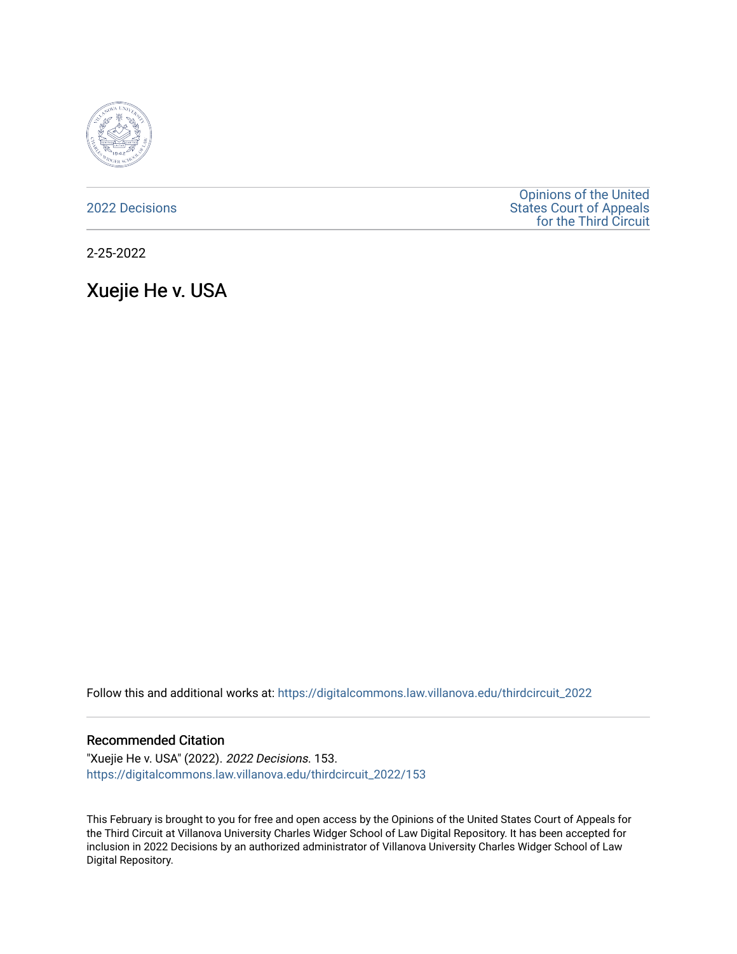

[2022 Decisions](https://digitalcommons.law.villanova.edu/thirdcircuit_2022)

[Opinions of the United](https://digitalcommons.law.villanova.edu/thirdcircuit)  [States Court of Appeals](https://digitalcommons.law.villanova.edu/thirdcircuit)  [for the Third Circuit](https://digitalcommons.law.villanova.edu/thirdcircuit) 

2-25-2022

Xuejie He v. USA

Follow this and additional works at: [https://digitalcommons.law.villanova.edu/thirdcircuit\\_2022](https://digitalcommons.law.villanova.edu/thirdcircuit_2022?utm_source=digitalcommons.law.villanova.edu%2Fthirdcircuit_2022%2F153&utm_medium=PDF&utm_campaign=PDFCoverPages) 

## Recommended Citation

"Xuejie He v. USA" (2022). 2022 Decisions. 153. [https://digitalcommons.law.villanova.edu/thirdcircuit\\_2022/153](https://digitalcommons.law.villanova.edu/thirdcircuit_2022/153?utm_source=digitalcommons.law.villanova.edu%2Fthirdcircuit_2022%2F153&utm_medium=PDF&utm_campaign=PDFCoverPages)

This February is brought to you for free and open access by the Opinions of the United States Court of Appeals for the Third Circuit at Villanova University Charles Widger School of Law Digital Repository. It has been accepted for inclusion in 2022 Decisions by an authorized administrator of Villanova University Charles Widger School of Law Digital Repository.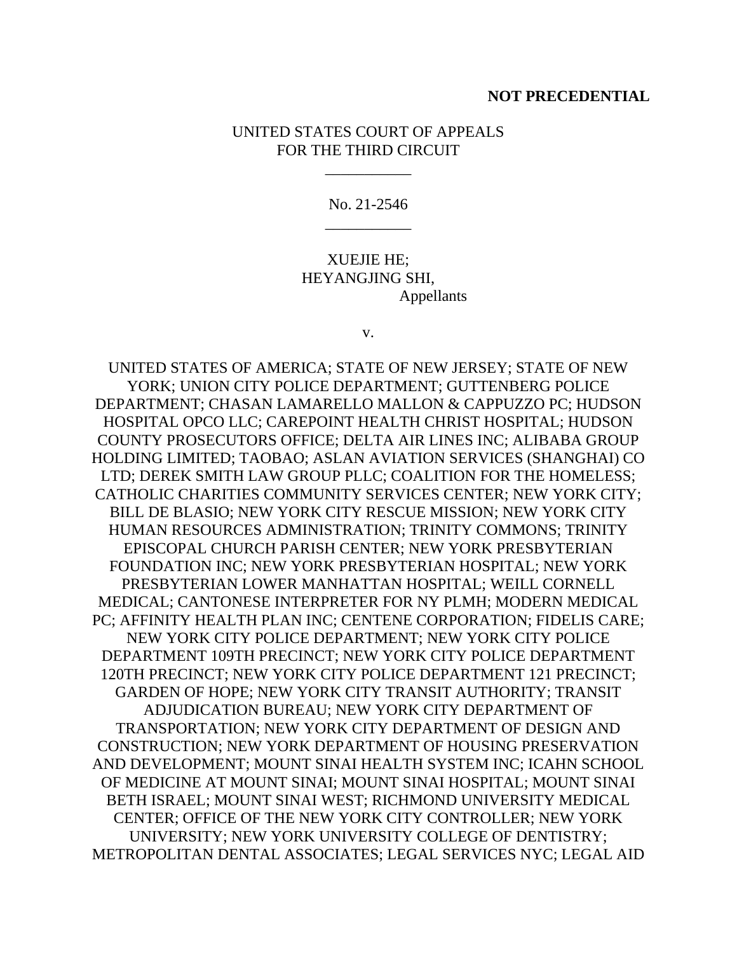## **NOT PRECEDENTIAL**

## UNITED STATES COURT OF APPEALS FOR THE THIRD CIRCUIT

\_\_\_\_\_\_\_\_\_\_\_

No. 21-2546 \_\_\_\_\_\_\_\_\_\_\_

XUEJIE HE; HEYANGJING SHI, Appellants

v.

UNITED STATES OF AMERICA; STATE OF NEW JERSEY; STATE OF NEW YORK; UNION CITY POLICE DEPARTMENT; GUTTENBERG POLICE DEPARTMENT; CHASAN LAMARELLO MALLON & CAPPUZZO PC; HUDSON HOSPITAL OPCO LLC; CAREPOINT HEALTH CHRIST HOSPITAL; HUDSON COUNTY PROSECUTORS OFFICE; DELTA AIR LINES INC; ALIBABA GROUP HOLDING LIMITED; TAOBAO; ASLAN AVIATION SERVICES (SHANGHAI) CO LTD; DEREK SMITH LAW GROUP PLLC; COALITION FOR THE HOMELESS; CATHOLIC CHARITIES COMMUNITY SERVICES CENTER; NEW YORK CITY; BILL DE BLASIO; NEW YORK CITY RESCUE MISSION; NEW YORK CITY HUMAN RESOURCES ADMINISTRATION; TRINITY COMMONS; TRINITY EPISCOPAL CHURCH PARISH CENTER; NEW YORK PRESBYTERIAN FOUNDATION INC; NEW YORK PRESBYTERIAN HOSPITAL; NEW YORK PRESBYTERIAN LOWER MANHATTAN HOSPITAL; WEILL CORNELL MEDICAL; CANTONESE INTERPRETER FOR NY PLMH; MODERN MEDICAL PC; AFFINITY HEALTH PLAN INC; CENTENE CORPORATION; FIDELIS CARE; NEW YORK CITY POLICE DEPARTMENT; NEW YORK CITY POLICE DEPARTMENT 109TH PRECINCT; NEW YORK CITY POLICE DEPARTMENT 120TH PRECINCT; NEW YORK CITY POLICE DEPARTMENT 121 PRECINCT; GARDEN OF HOPE; NEW YORK CITY TRANSIT AUTHORITY; TRANSIT ADJUDICATION BUREAU; NEW YORK CITY DEPARTMENT OF TRANSPORTATION; NEW YORK CITY DEPARTMENT OF DESIGN AND CONSTRUCTION; NEW YORK DEPARTMENT OF HOUSING PRESERVATION AND DEVELOPMENT; MOUNT SINAI HEALTH SYSTEM INC; ICAHN SCHOOL OF MEDICINE AT MOUNT SINAI; MOUNT SINAI HOSPITAL; MOUNT SINAI BETH ISRAEL; MOUNT SINAI WEST; RICHMOND UNIVERSITY MEDICAL CENTER; OFFICE OF THE NEW YORK CITY CONTROLLER; NEW YORK UNIVERSITY; NEW YORK UNIVERSITY COLLEGE OF DENTISTRY; METROPOLITAN DENTAL ASSOCIATES; LEGAL SERVICES NYC; LEGAL AID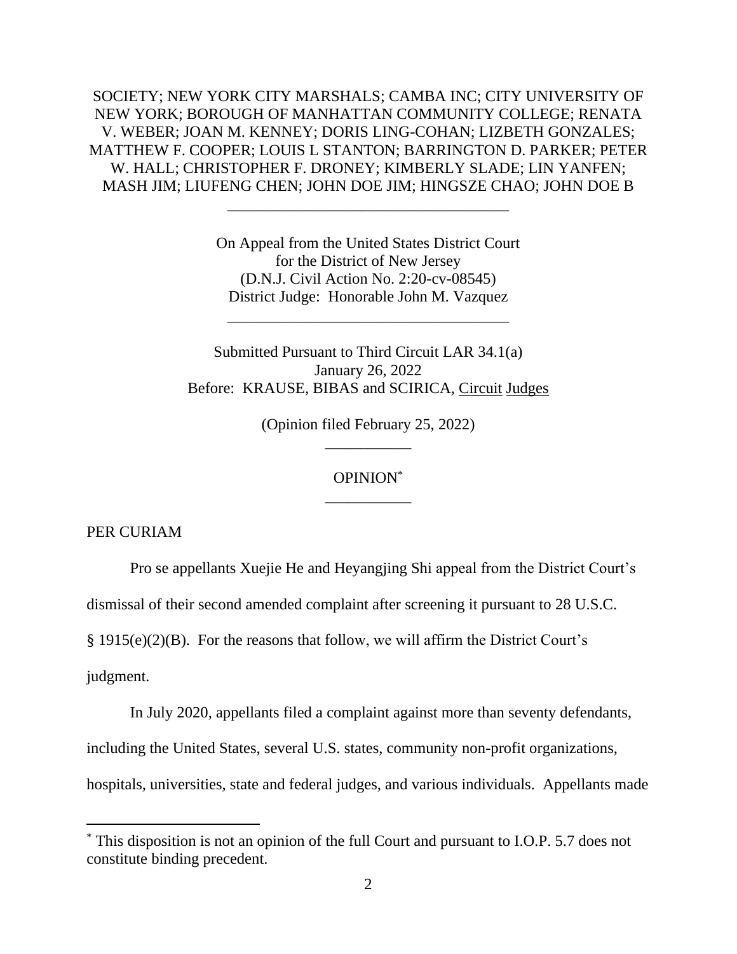SOCIETY; NEW YORK CITY MARSHALS; CAMBA INC; CITY UNIVERSITY OF NEW YORK; BOROUGH OF MANHATTAN COMMUNITY COLLEGE; RENATA V. WEBER; JOAN M. KENNEY; DORIS LING-COHAN; LIZBETH GONZALES; MATTHEW F. COOPER; LOUIS L STANTON; BARRINGTON D. PARKER; PETER W. HALL; CHRISTOPHER F. DRONEY; KIMBERLY SLADE; LIN YANFEN; MASH JIM; LIUFENG CHEN; JOHN DOE JIM; HINGSZE CHAO; JOHN DOE B

> On Appeal from the United States District Court for the District of New Jersey (D.N.J. Civil Action No. 2:20-cv-08545) District Judge: Honorable John M. Vazquez

\_\_\_\_\_\_\_\_\_\_\_\_\_\_\_\_\_\_\_\_\_\_\_\_\_\_\_\_\_\_\_\_\_\_\_\_

\_\_\_\_\_\_\_\_\_\_\_\_\_\_\_\_\_\_\_\_\_\_\_\_\_\_\_\_\_\_\_\_\_\_\_\_

Submitted Pursuant to Third Circuit LAR 34.1(a) January 26, 2022 Before: KRAUSE, BIBAS and SCIRICA, Circuit Judges

> (Opinion filed February 25, 2022) \_\_\_\_\_\_\_\_\_\_\_

## OPINION\* \_\_\_\_\_\_\_\_\_\_\_

PER CURIAM

Pro se appellants Xuejie He and Heyangjing Shi appeal from the District Court's

dismissal of their second amended complaint after screening it pursuant to 28 U.S.C.

§ 1915(e)(2)(B). For the reasons that follow, we will affirm the District Court's

judgment.

In July 2020, appellants filed a complaint against more than seventy defendants, including the United States, several U.S. states, community non-profit organizations, hospitals, universities, state and federal judges, and various individuals. Appellants made

<sup>\*</sup> This disposition is not an opinion of the full Court and pursuant to I.O.P. 5.7 does not constitute binding precedent.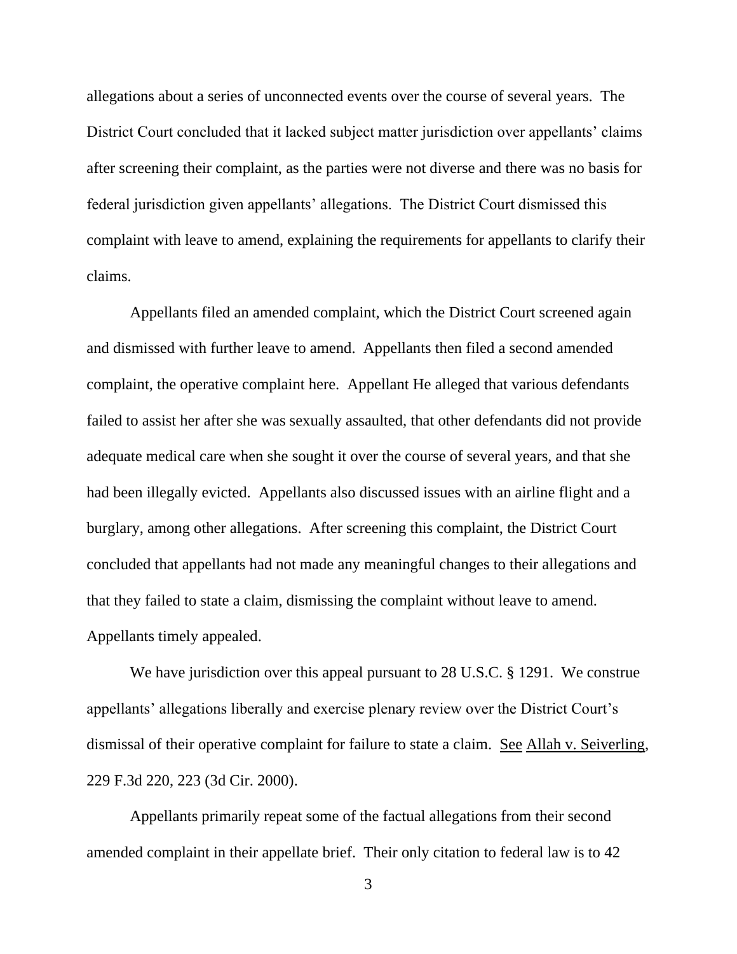allegations about a series of unconnected events over the course of several years. The District Court concluded that it lacked subject matter jurisdiction over appellants' claims after screening their complaint, as the parties were not diverse and there was no basis for federal jurisdiction given appellants' allegations. The District Court dismissed this complaint with leave to amend, explaining the requirements for appellants to clarify their claims.

Appellants filed an amended complaint, which the District Court screened again and dismissed with further leave to amend. Appellants then filed a second amended complaint, the operative complaint here. Appellant He alleged that various defendants failed to assist her after she was sexually assaulted, that other defendants did not provide adequate medical care when she sought it over the course of several years, and that she had been illegally evicted. Appellants also discussed issues with an airline flight and a burglary, among other allegations. After screening this complaint, the District Court concluded that appellants had not made any meaningful changes to their allegations and that they failed to state a claim, dismissing the complaint without leave to amend. Appellants timely appealed.

We have jurisdiction over this appeal pursuant to 28 U.S.C. § 1291. We construe appellants' allegations liberally and exercise plenary review over the District Court's dismissal of their operative complaint for failure to state a claim. See Allah v. Seiverling, 229 F.3d 220, 223 (3d Cir. 2000).

Appellants primarily repeat some of the factual allegations from their second amended complaint in their appellate brief. Their only citation to federal law is to 42

3